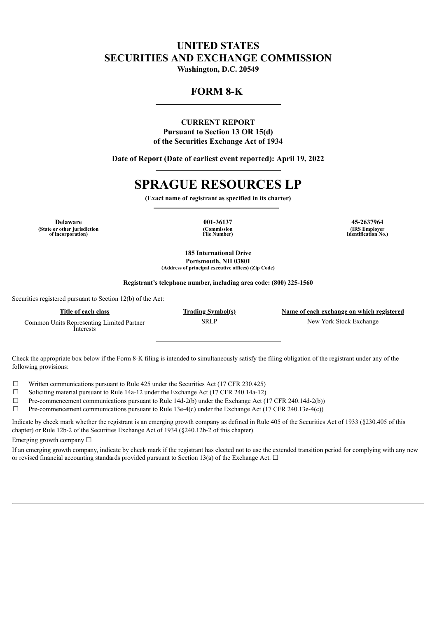# **UNITED STATES SECURITIES AND EXCHANGE COMMISSION**

**Washington, D.C. 20549**

# **FORM 8-K**

## **CURRENT REPORT Pursuant to Section 13 OR 15(d) of the Securities Exchange Act of 1934**

**Date of Report (Date of earliest event reported): April 19, 2022**

# **SPRAGUE RESOURCES LP**

**(Exact name of registrant as specified in its charter)**

**Delaware 001-36137 45-2637964 (State or other jurisdiction of incorporation)**

**(Commission File Number)**

**(IRS Employer Identification No.)**

**185 International Drive Portsmouth, NH 03801 (Address of principal executive offices) (Zip Code)**

**Registrant's telephone number, including area code: (800) 225-1560**

Securities registered pursuant to Section 12(b) of the Act:

| Title of each class                                    | <b>Trading Symbol(s)</b> | Name of each exchange on which registered |
|--------------------------------------------------------|--------------------------|-------------------------------------------|
| Common Units Representing Limited Partner<br>Interests | SRLP                     | New York Stock Exchange                   |

Check the appropriate box below if the Form 8-K filing is intended to simultaneously satisfy the filing obligation of the registrant under any of the following provisions:

 $\Box$  Written communications pursuant to Rule 425 under the Securities Act (17 CFR 230.425)

☐ Soliciting material pursuant to Rule 14a-12 under the Exchange Act (17 CFR 240.14a-12)

 $\Box$  Pre-commencement communications pursuant to Rule 14d-2(b) under the Exchange Act (17 CFR 240.14d-2(b))

 $\Box$  Pre-commencement communications pursuant to Rule 13e-4(c) under the Exchange Act (17 CFR 240.13e-4(c))

Indicate by check mark whether the registrant is an emerging growth company as defined in Rule 405 of the Securities Act of 1933 (§230.405 of this chapter) or Rule 12b-2 of the Securities Exchange Act of 1934 (§240.12b-2 of this chapter).

Emerging growth company  $\Box$ 

If an emerging growth company, indicate by check mark if the registrant has elected not to use the extended transition period for complying with any new or revised financial accounting standards provided pursuant to Section 13(a) of the Exchange Act.  $\Box$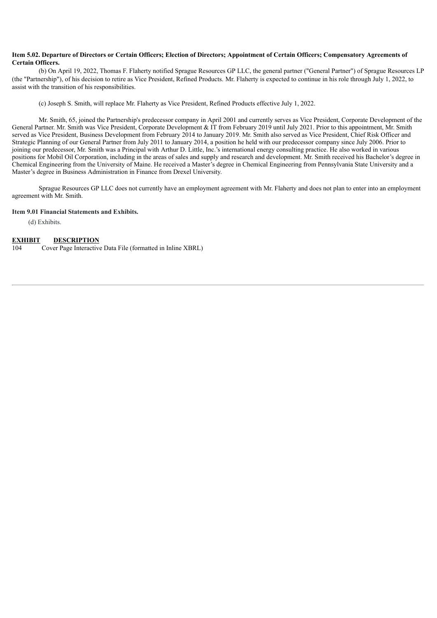#### Item 5.02. Departure of Directors or Certain Officers; Election of Directors; Appointment of Certain Officers; Compensatory Agreements of **Certain Officers.**

(b) On April 19, 2022, Thomas F. Flaherty notified Sprague Resources GP LLC, the general partner ("General Partner") of Sprague Resources LP (the "Partnership"), of his decision to retire as Vice President, Refined Products. Mr. Flaherty is expected to continue in his role through July 1, 2022, to assist with the transition of his responsibilities.

(c) Joseph S. Smith, will replace Mr. Flaherty as Vice President, Refined Products effective July 1, 2022.

Mr. Smith, 65, joined the Partnership's predecessor company in April 2001 and currently serves as Vice President, Corporate Development of the General Partner. Mr. Smith was Vice President, Corporate Development & IT from February 2019 until July 2021. Prior to this appointment, Mr. Smith served as Vice President, Business Development from February 2014 to January 2019. Mr. Smith also served as Vice President, Chief Risk Officer and Strategic Planning of our General Partner from July 2011 to January 2014, a position he held with our predecessor company since July 2006. Prior to joining our predecessor, Mr. Smith was a Principal with Arthur D. Little, Inc.'s international energy consulting practice. He also worked in various positions for Mobil Oil Corporation, including in the areas of sales and supply and research and development. Mr. Smith received his Bachelor's degree in Chemical Engineering from the University of Maine. He received a Master's degree in Chemical Engineering from Pennsylvania State University and a Master's degree in Business Administration in Finance from Drexel University.

Sprague Resources GP LLC does not currently have an employment agreement with Mr. Flaherty and does not plan to enter into an employment agreement with Mr. Smith.

#### **Item 9.01 Financial Statements and Exhibits.**

(d) Exhibits.

#### **EXHIBIT DESCRIPTION**

104 Cover Page Interactive Data File (formatted in Inline XBRL)